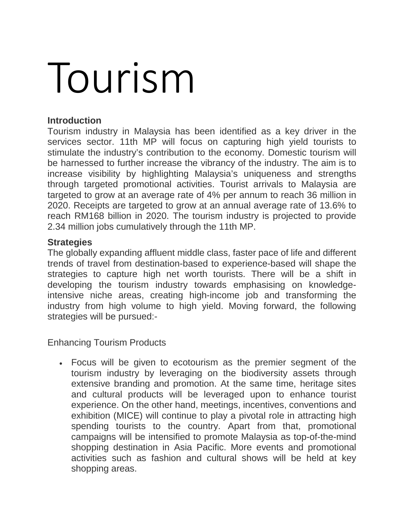## Tourism

## **Introduction**

Tourism industry in Malaysia has been identified as a key driver in the services sector. 11th MP will focus on capturing high yield tourists to stimulate the industry's contribution to the economy. Domestic tourism will be harnessed to further increase the vibrancy of the industry. The aim is to increase visibility by highlighting Malaysia's uniqueness and strengths through targeted promotional activities. Tourist arrivals to Malaysia are targeted to grow at an average rate of 4% per annum to reach 36 million in 2020. Receipts are targeted to grow at an annual average rate of 13.6% to reach RM168 billion in 2020. The tourism industry is projected to provide 2.34 million jobs cumulatively through the 11th MP.

## **Strategies**

The globally expanding affluent middle class, faster pace of life and different trends of travel from destination-based to experience-based will shape the strategies to capture high net worth tourists. There will be a shift in developing the tourism industry towards emphasising on knowledgeintensive niche areas, creating high-income job and transforming the industry from high volume to high yield. Moving forward, the following strategies will be pursued:-

Enhancing Tourism Products

• Focus will be given to ecotourism as the premier segment of the tourism industry by leveraging on the biodiversity assets through extensive branding and promotion. At the same time, heritage sites and cultural products will be leveraged upon to enhance tourist experience. On the other hand, meetings, incentives, conventions and exhibition (MICE) will continue to play a pivotal role in attracting high spending tourists to the country. Apart from that, promotional campaigns will be intensified to promote Malaysia as top-of-the-mind shopping destination in Asia Pacific. More events and promotional activities such as fashion and cultural shows will be held at key shopping areas.